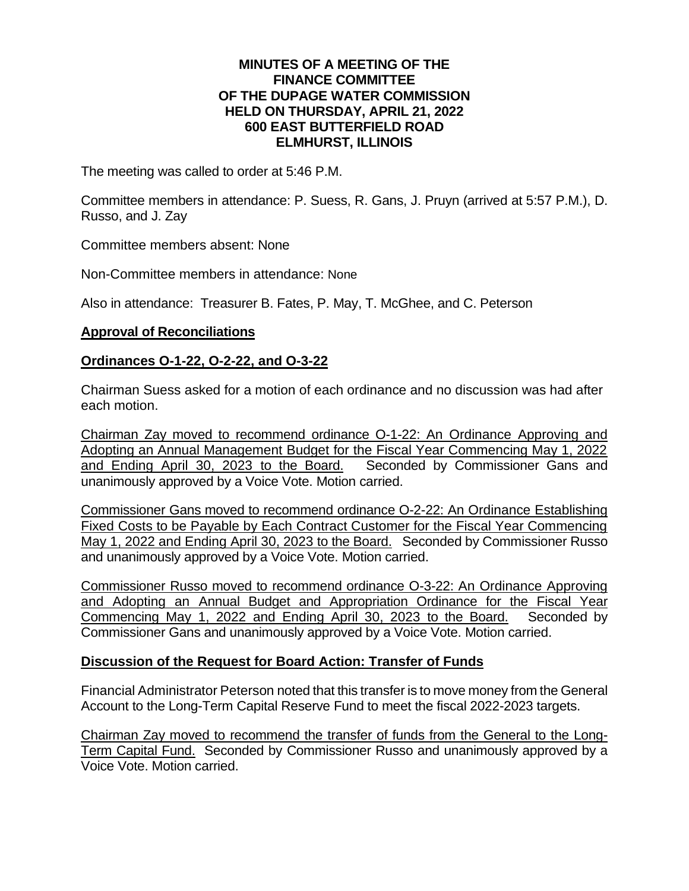### **MINUTES OF A MEETING OF THE FINANCE COMMITTEE OF THE DUPAGE WATER COMMISSION HELD ON THURSDAY, APRIL 21, 2022 600 EAST BUTTERFIELD ROAD ELMHURST, ILLINOIS**

The meeting was called to order at 5:46 P.M.

Committee members in attendance: P. Suess, R. Gans, J. Pruyn (arrived at 5:57 P.M.), D. Russo, and J. Zay

Committee members absent: None

Non-Committee members in attendance: None

Also in attendance: Treasurer B. Fates, P. May, T. McGhee, and C. Peterson

### **Approval of Reconciliations**

# **Ordinances O-1-22, O-2-22, and O-3-22**

Chairman Suess asked for a motion of each ordinance and no discussion was had after each motion.

Chairman Zay moved to recommend ordinance O-1-22: An Ordinance Approving and Adopting an Annual Management Budget for the Fiscal Year Commencing May 1, 2022 and Ending April 30, 2023 to the Board. Seconded by Commissioner Gans and unanimously approved by a Voice Vote. Motion carried.

Commissioner Gans moved to recommend ordinance O-2-22: An Ordinance Establishing Fixed Costs to be Payable by Each Contract Customer for the Fiscal Year Commencing May 1, 2022 and Ending April 30, 2023 to the Board. Seconded by Commissioner Russo and unanimously approved by a Voice Vote. Motion carried.

Commissioner Russo moved to recommend ordinance O-3-22: An Ordinance Approving and Adopting an Annual Budget and Appropriation Ordinance for the Fiscal Year Commencing May 1, 2022 and Ending April 30, 2023 to the Board. Seconded by Commissioner Gans and unanimously approved by a Voice Vote. Motion carried.

#### **Discussion of the Request for Board Action: Transfer of Funds**

Financial Administrator Peterson noted that this transfer is to move money from the General Account to the Long-Term Capital Reserve Fund to meet the fiscal 2022-2023 targets.

Chairman Zay moved to recommend the transfer of funds from the General to the Long-Term Capital Fund. Seconded by Commissioner Russo and unanimously approved by a Voice Vote. Motion carried.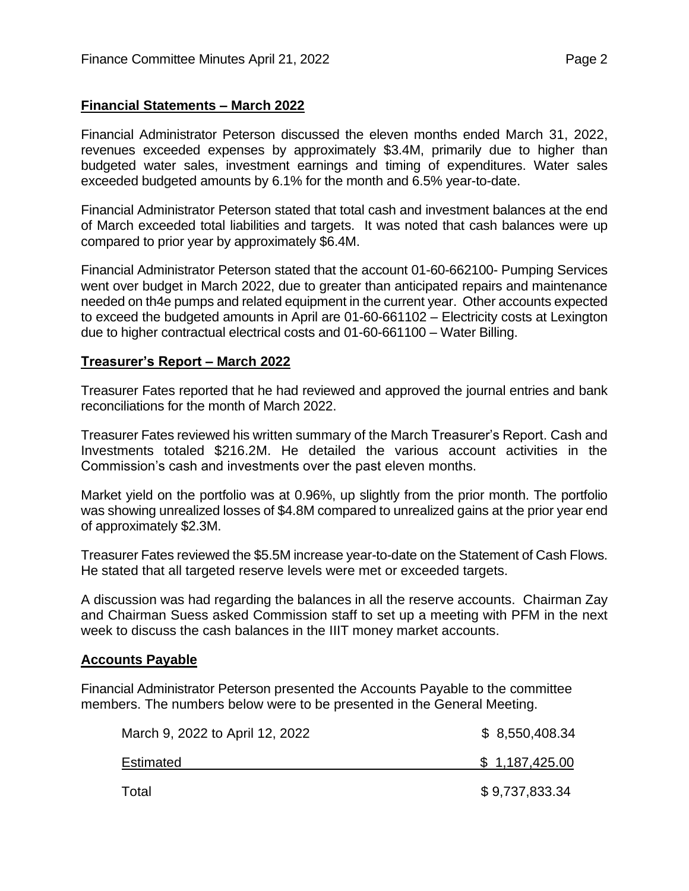# **Financial Statements – March 2022**

Financial Administrator Peterson discussed the eleven months ended March 31, 2022, revenues exceeded expenses by approximately \$3.4M, primarily due to higher than budgeted water sales, investment earnings and timing of expenditures. Water sales exceeded budgeted amounts by 6.1% for the month and 6.5% year-to-date.

Financial Administrator Peterson stated that total cash and investment balances at the end of March exceeded total liabilities and targets. It was noted that cash balances were up compared to prior year by approximately \$6.4M.

Financial Administrator Peterson stated that the account 01-60-662100- Pumping Services went over budget in March 2022, due to greater than anticipated repairs and maintenance needed on th4e pumps and related equipment in the current year. Other accounts expected to exceed the budgeted amounts in April are 01-60-661102 – Electricity costs at Lexington due to higher contractual electrical costs and 01-60-661100 – Water Billing.

# **Treasurer's Report – March 2022**

Treasurer Fates reported that he had reviewed and approved the journal entries and bank reconciliations for the month of March 2022.

Treasurer Fates reviewed his written summary of the March Treasurer's Report. Cash and Investments totaled \$216.2M. He detailed the various account activities in the Commission's cash and investments over the past eleven months.

Market yield on the portfolio was at 0.96%, up slightly from the prior month. The portfolio was showing unrealized losses of \$4.8M compared to unrealized gains at the prior year end of approximately \$2.3M.

Treasurer Fates reviewed the \$5.5M increase year-to-date on the Statement of Cash Flows. He stated that all targeted reserve levels were met or exceeded targets.

A discussion was had regarding the balances in all the reserve accounts. Chairman Zay and Chairman Suess asked Commission staff to set up a meeting with PFM in the next week to discuss the cash balances in the IIIT money market accounts.

# **Accounts Payable**

Financial Administrator Peterson presented the Accounts Payable to the committee members. The numbers below were to be presented in the General Meeting.

| March 9, 2022 to April 12, 2022 | \$8,550,408.34 |
|---------------------------------|----------------|
| Estimated                       | \$1,187,425.00 |
| Total                           | \$9,737,833.34 |